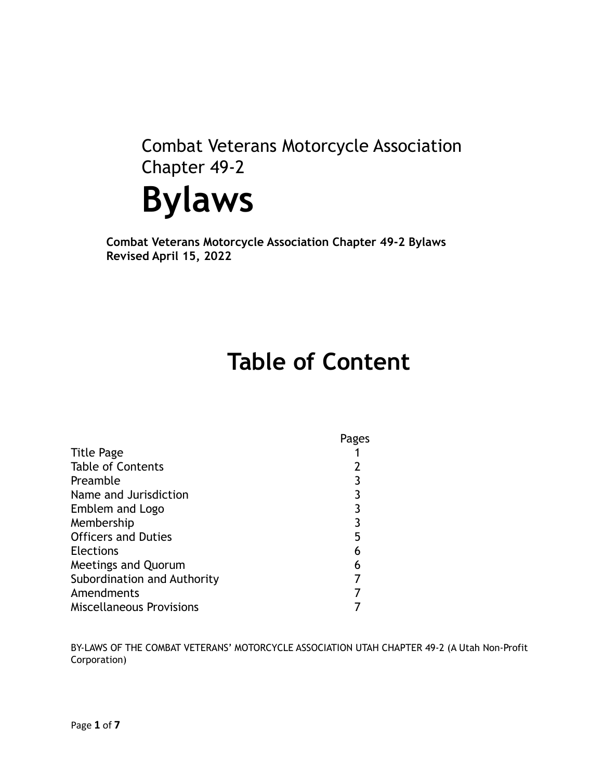Combat Veterans Motorcycle Association Chapter 49-2



**Combat Veterans Motorcycle Association Chapter 49-2 Bylaws Revised April 15, 2022**

# **Table of Content**

|                                 | Pages |
|---------------------------------|-------|
| <b>Title Page</b>               |       |
| <b>Table of Contents</b>        |       |
| Preamble                        |       |
| Name and Jurisdiction           | 3     |
| Emblem and Logo                 | 3     |
| Membership                      | 3     |
| <b>Officers and Duties</b>      | 5     |
| <b>Elections</b>                | 6     |
| <b>Meetings and Quorum</b>      | 6     |
| Subordination and Authority     |       |
| Amendments                      |       |
| <b>Miscellaneous Provisions</b> |       |

BY-LAWS OF THE COMBAT VETERANS' MOTORCYCLE ASSOCIATION UTAH CHAPTER 49-2 (A Utah Non-Profit Corporation)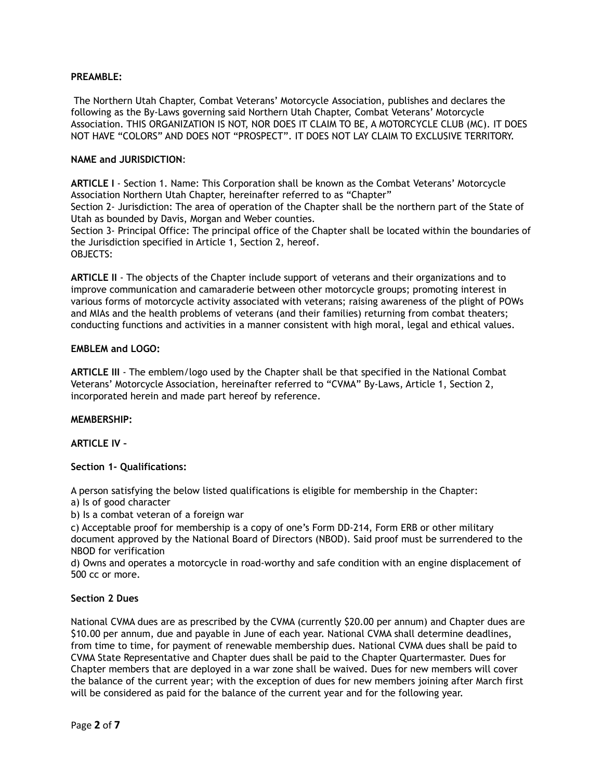## **PREAMBLE:**

The Northern Utah Chapter, Combat Veterans' Motorcycle Association, publishes and declares the following as the By-Laws governing said Northern Utah Chapter, Combat Veterans' Motorcycle Association. THIS ORGANIZATION IS NOT, NOR DOES IT CLAIM TO BE, A MOTORCYCLE CLUB (MC). IT DOES NOT HAVE "COLORS" AND DOES NOT "PROSPECT". IT DOES NOT LAY CLAIM TO EXCLUSIVE TERRITORY.

## **NAME and JURISDICTION**:

**ARTICLE I** - Section 1. Name: This Corporation shall be known as the Combat Veterans' Motorcycle Association Northern Utah Chapter, hereinafter referred to as "Chapter" Section 2- Jurisdiction: The area of operation of the Chapter shall be the northern part of the State of Utah as bounded by Davis, Morgan and Weber counties. Section 3- Principal Office: The principal office of the Chapter shall be located within the boundaries of the Jurisdiction specified in Article 1, Section 2, hereof.

OBJECTS:

**ARTICLE II** - The objects of the Chapter include support of veterans and their organizations and to improve communication and camaraderie between other motorcycle groups; promoting interest in various forms of motorcycle activity associated with veterans; raising awareness of the plight of POWs and MIAs and the health problems of veterans (and their families) returning from combat theaters; conducting functions and activities in a manner consistent with high moral, legal and ethical values.

#### **EMBLEM and LOGO:**

**ARTICLE III** - The emblem/logo used by the Chapter shall be that specified in the National Combat Veterans' Motorcycle Association, hereinafter referred to "CVMA" By-Laws, Article 1, Section 2, incorporated herein and made part hereof by reference.

#### **MEMBERSHIP:**

#### **ARTICLE IV –**

#### **Section 1- Qualifications:**

A person satisfying the below listed qualifications is eligible for membership in the Chapter:

a) Is of good character

b) Is a combat veteran of a foreign war

c) Acceptable proof for membership is a copy of one's Form DD-214, Form ERB or other military document approved by the National Board of Directors (NBOD). Said proof must be surrendered to the NBOD for verification

d) Owns and operates a motorcycle in road-worthy and safe condition with an engine displacement of 500 cc or more.

#### **Section 2 Dues**

National CVMA dues are as prescribed by the CVMA (currently \$20.00 per annum) and Chapter dues are \$10.00 per annum, due and payable in June of each year. National CVMA shall determine deadlines, from time to time, for payment of renewable membership dues. National CVMA dues shall be paid to CVMA State Representative and Chapter dues shall be paid to the Chapter Quartermaster. Dues for Chapter members that are deployed in a war zone shall be waived. Dues for new members will cover the balance of the current year; with the exception of dues for new members joining after March first will be considered as paid for the balance of the current year and for the following year.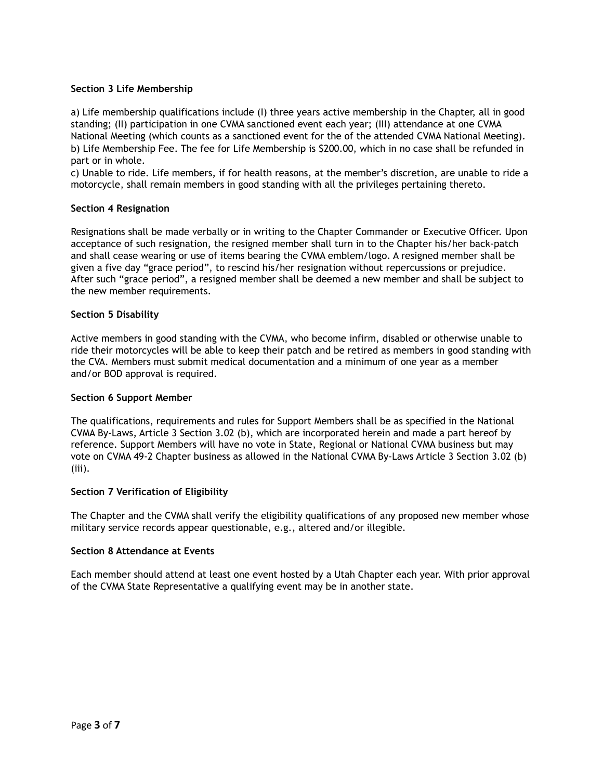# **Section 3 Life Membership**

a) Life membership qualifications include (I) three years active membership in the Chapter, all in good standing; (II) participation in one CVMA sanctioned event each year; (III) attendance at one CVMA National Meeting (which counts as a sanctioned event for the of the attended CVMA National Meeting). b) Life Membership Fee. The fee for Life Membership is \$200.00, which in no case shall be refunded in part or in whole.

c) Unable to ride. Life members, if for health reasons, at the member's discretion, are unable to ride a motorcycle, shall remain members in good standing with all the privileges pertaining thereto.

# **Section 4 Resignation**

Resignations shall be made verbally or in writing to the Chapter Commander or Executive Officer. Upon acceptance of such resignation, the resigned member shall turn in to the Chapter his/her back-patch and shall cease wearing or use of items bearing the CVMA emblem/logo. A resigned member shall be given a five day "grace period", to rescind his/her resignation without repercussions or prejudice. After such "grace period", a resigned member shall be deemed a new member and shall be subject to the new member requirements.

# **Section 5 Disability**

Active members in good standing with the CVMA, who become infirm, disabled or otherwise unable to ride their motorcycles will be able to keep their patch and be retired as members in good standing with the CVA. Members must submit medical documentation and a minimum of one year as a member and/or BOD approval is required.

#### **Section 6 Support Member**

The qualifications, requirements and rules for Support Members shall be as specified in the National CVMA By-Laws, Article 3 Section 3.02 (b), which are incorporated herein and made a part hereof by reference. Support Members will have no vote in State, Regional or National CVMA business but may vote on CVMA 49-2 Chapter business as allowed in the National CVMA By-Laws Article 3 Section 3.02 (b) (iii).

#### **Section 7 Verification of Eligibility**

The Chapter and the CVMA shall verify the eligibility qualifications of any proposed new member whose military service records appear questionable, e.g., altered and/or illegible.

#### **Section 8 Attendance at Events**

Each member should attend at least one event hosted by a Utah Chapter each year. With prior approval of the CVMA State Representative a qualifying event may be in another state.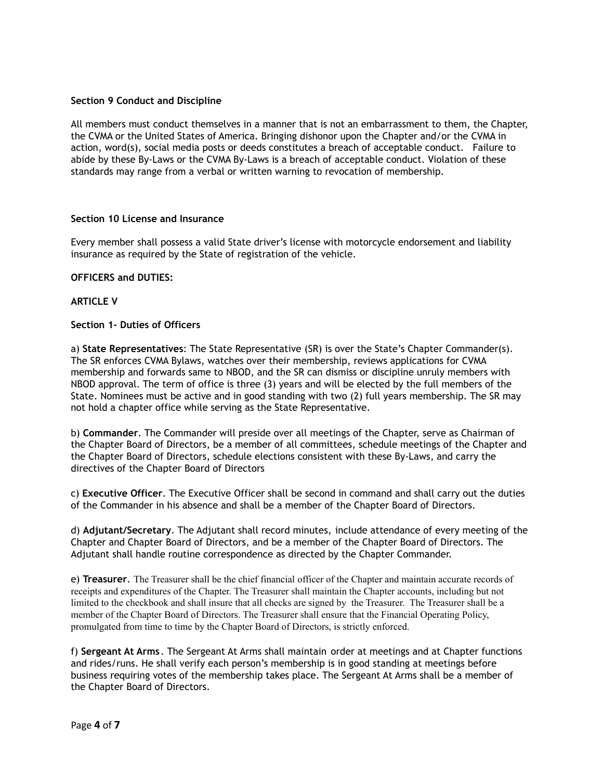# **Section 9 Conduct and Discipline**

All members must conduct themselves in a manner that is not an embarrassment to them, the Chapter, the CVMA or the United States of America. Bringing dishonor upon the Chapter and/or the CVMA in action, word(s), social media posts or deeds constitutes a breach of acceptable conduct. Failure to abide by these By-Laws or the CVMA By-Laws is a breach of acceptable conduct. Violation of these standards may range from a verbal or written warning to revocation of membership.

#### **Section 10 License and Insurance**

Every member shall possess a valid State driver's license with motorcycle endorsement and liability insurance as required by the State of registration of the vehicle.

#### **OFFICERS and DUTIES:**

#### **ARTICLE V**

# **Section 1- Duties of Officers**

a) **State Representatives**: The State Representative (SR) is over the State's Chapter Commander(s). The SR enforces CVMA Bylaws, watches over their membership, reviews applications for CVMA membership and forwards same to NBOD, and the SR can dismiss or discipline unruly members with NBOD approval. The term of office is three (3) years and will be elected by the full members of the State. Nominees must be active and in good standing with two (2) full years membership. The SR may not hold a chapter office while serving as the State Representative.

b) **Commander**. The Commander will preside over all meetings of the Chapter, serve as Chairman of the Chapter Board of Directors, be a member of all committees, schedule meetings of the Chapter and the Chapter Board of Directors, schedule elections consistent with these By-Laws, and carry the directives of the Chapter Board of Directors

c) **Executive Officer**. The Executive Officer shall be second in command and shall carry out the duties of the Commander in his absence and shall be a member of the Chapter Board of Directors.

d) **Adjutant/Secretary**. The Adjutant shall record minutes, include attendance of every meeting of the Chapter and Chapter Board of Directors, and be a member of the Chapter Board of Directors. The Adjutant shall handle routine correspondence as directed by the Chapter Commander.

e) **Treasurer**. The Treasurer shall be the chief financial officer of the Chapter and maintain accurate records of receipts and expenditures of the Chapter. The Treasurer shall maintain the Chapter accounts, including but not limited to the checkbook and shall insure that all checks are signed by the Treasurer. The Treasurer shall be a member of the Chapter Board of Directors. The Treasurer shall ensure that the Financial Operating Policy, promulgated from time to time by the Chapter Board of Directors, is strictly enforced.

f) **Sergeant At Arms** . The Sergeant At Arms shall maintain order at meetings and at Chapter functions and rides/runs. He shall verify each person's membership is in good standing at meetings before business requiring votes of the membership takes place. The Sergeant At Arms shall be a member of the Chapter Board of Directors.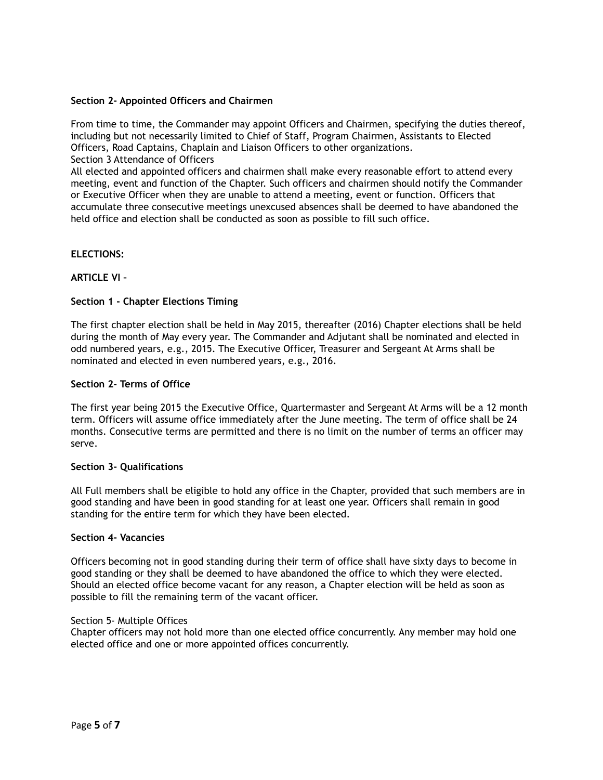# **Section 2- Appointed Officers and Chairmen**

From time to time, the Commander may appoint Officers and Chairmen, specifying the duties thereof, including but not necessarily limited to Chief of Staff, Program Chairmen, Assistants to Elected Officers, Road Captains, Chaplain and Liaison Officers to other organizations. Section 3 Attendance of Officers

All elected and appointed officers and chairmen shall make every reasonable effort to attend every meeting, event and function of the Chapter. Such officers and chairmen should notify the Commander or Executive Officer when they are unable to attend a meeting, event or function. Officers that accumulate three consecutive meetings unexcused absences shall be deemed to have abandoned the held office and election shall be conducted as soon as possible to fill such office.

# **ELECTIONS:**

# **ARTICLE VI –**

# **Section 1 - Chapter Elections Timing**

The first chapter election shall be held in May 2015, thereafter (2016) Chapter elections shall be held during the month of May every year. The Commander and Adjutant shall be nominated and elected in odd numbered years, e.g., 2015. The Executive Officer, Treasurer and Sergeant At Arms shall be nominated and elected in even numbered years, e.g., 2016.

#### **Section 2- Terms of Office**

The first year being 2015 the Executive Office, Quartermaster and Sergeant At Arms will be a 12 month term. Officers will assume office immediately after the June meeting. The term of office shall be 24 months. Consecutive terms are permitted and there is no limit on the number of terms an officer may serve.

#### **Section 3- Qualifications**

All Full members shall be eligible to hold any office in the Chapter, provided that such members are in good standing and have been in good standing for at least one year. Officers shall remain in good standing for the entire term for which they have been elected.

#### **Section 4- Vacancies**

Officers becoming not in good standing during their term of office shall have sixty days to become in good standing or they shall be deemed to have abandoned the office to which they were elected. Should an elected office become vacant for any reason, a Chapter election will be held as soon as possible to fill the remaining term of the vacant officer.

#### Section 5- Multiple Offices

Chapter officers may not hold more than one elected office concurrently. Any member may hold one elected office and one or more appointed offices concurrently.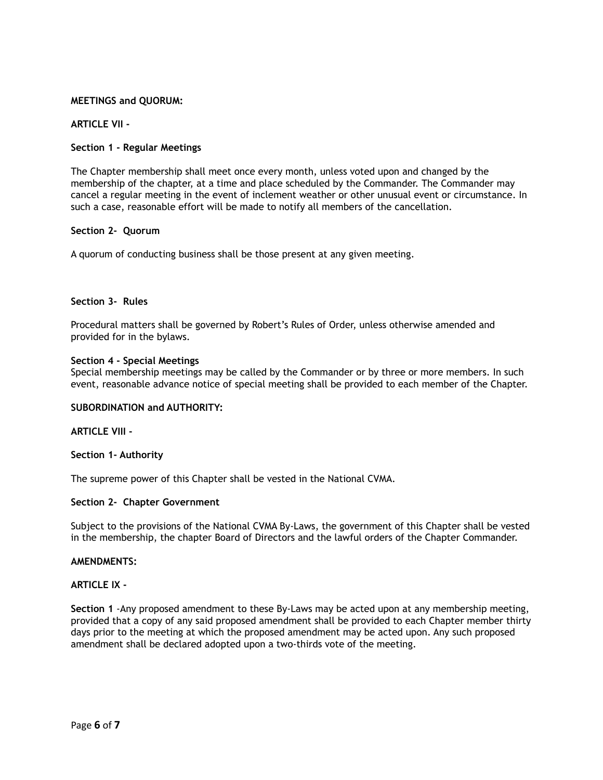# **MEETINGS and QUORUM:**

## **ARTICLE VII -**

## **Section 1 - Regular Meetings**

The Chapter membership shall meet once every month, unless voted upon and changed by the membership of the chapter, at a time and place scheduled by the Commander. The Commander may cancel a regular meeting in the event of inclement weather or other unusual event or circumstance. In such a case, reasonable effort will be made to notify all members of the cancellation.

#### **Section 2- Quorum**

A quorum of conducting business shall be those present at any given meeting.

# **Section 3- Rules**

Procedural matters shall be governed by Robert's Rules of Order, unless otherwise amended and provided for in the bylaws.

#### **Section 4 - Special Meetings**

Special membership meetings may be called by the Commander or by three or more members. In such event, reasonable advance notice of special meeting shall be provided to each member of the Chapter.

#### **SUBORDINATION and AUTHORITY:**

#### **ARTICLE VIII -**

#### **Section 1- Authority**

The supreme power of this Chapter shall be vested in the National CVMA.

#### **Section 2- Chapter Government**

Subject to the provisions of the National CVMA By-Laws, the government of this Chapter shall be vested in the membership, the chapter Board of Directors and the lawful orders of the Chapter Commander.

#### **AMENDMENTS:**

#### **ARTICLE IX -**

**Section 1** -Any proposed amendment to these By-Laws may be acted upon at any membership meeting, provided that a copy of any said proposed amendment shall be provided to each Chapter member thirty days prior to the meeting at which the proposed amendment may be acted upon. Any such proposed amendment shall be declared adopted upon a two-thirds vote of the meeting.